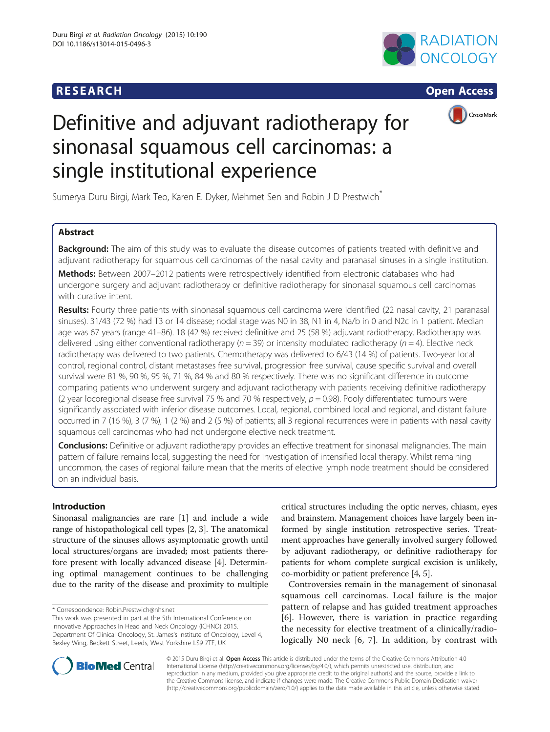





# Definitive and adjuvant radiotherapy for sinonasal squamous cell carcinomas: a single institutional experience

Sumerya Duru Birgi, Mark Teo, Karen E. Dyker, Mehmet Sen and Robin J D Prestwich<sup>\*</sup>

# Abstract

Background: The aim of this study was to evaluate the disease outcomes of patients treated with definitive and adjuvant radiotherapy for squamous cell carcinomas of the nasal cavity and paranasal sinuses in a single institution.

Methods: Between 2007-2012 patients were retrospectively identified from electronic databases who had undergone surgery and adjuvant radiotherapy or definitive radiotherapy for sinonasal squamous cell carcinomas with curative intent.

Results: Fourty three patients with sinonasal squamous cell carcinoma were identified (22 nasal cavity, 21 paranasal sinuses). 31/43 (72 %) had T3 or T4 disease; nodal stage was N0 in 38, N1 in 4, Na/b in 0 and N2c in 1 patient. Median age was 67 years (range 41–86). 18 (42 %) received definitive and 25 (58 %) adjuvant radiotherapy. Radiotherapy was delivered using either conventional radiotherapy ( $n = 39$ ) or intensity modulated radiotherapy ( $n = 4$ ). Elective neck radiotherapy was delivered to two patients. Chemotherapy was delivered to 6/43 (14 %) of patients. Two-year local control, regional control, distant metastases free survival, progression free survival, cause specific survival and overall survival were 81 %, 90 %, 95 %, 71 %, 84 % and 80 % respectively. There was no significant difference in outcome comparing patients who underwent surgery and adjuvant radiotherapy with patients receiving definitive radiotherapy (2 year locoregional disease free survival 75 % and 70 % respectively,  $p = 0.98$ ). Pooly differentiated tumours were significantly associated with inferior disease outcomes. Local, regional, combined local and regional, and distant failure occurred in 7 (16 %), 3 (7 %), 1 (2 %) and 2 (5 %) of patients; all 3 regional recurrences were in patients with nasal cavity squamous cell carcinomas who had not undergone elective neck treatment.

Conclusions: Definitive or adjuvant radiotherapy provides an effective treatment for sinonasal malignancies. The main pattern of failure remains local, suggesting the need for investigation of intensified local therapy. Whilst remaining uncommon, the cases of regional failure mean that the merits of elective lymph node treatment should be considered on an individual basis.

# Introduction

Sinonasal malignancies are rare [\[1](#page-5-0)] and include a wide range of histopathological cell types [[2, 3](#page-5-0)]. The anatomical structure of the sinuses allows asymptomatic growth until local structures/organs are invaded; most patients therefore present with locally advanced disease [\[4](#page-5-0)]. Determining optimal management continues to be challenging due to the rarity of the disease and proximity to multiple

\* Correspondence: [Robin.Prestwich@nhs.net](mailto:Robin.Prestwich@nhs.net)

This work was presented in part at the 5th International Conference on Innovative Approaches in Head and Neck Oncology (ICHNO) 2015. Department Of Clinical Oncology, St. James's Institute of Oncology, Level 4, Bexley Wing, Beckett Street, Leeds, West Yorkshire LS9 7TF, UK

critical structures including the optic nerves, chiasm, eyes and brainstem. Management choices have largely been informed by single institution retrospective series. Treatment approaches have generally involved surgery followed by adjuvant radiotherapy, or definitive radiotherapy for patients for whom complete surgical excision is unlikely, co-morbidity or patient preference [[4](#page-5-0), [5](#page-5-0)].

Controversies remain in the management of sinonasal squamous cell carcinomas. Local failure is the major pattern of relapse and has guided treatment approaches [[6\]](#page-5-0). However, there is variation in practice regarding the necessity for elective treatment of a clinically/radiologically N0 neck [\[6](#page-5-0), [7\]](#page-6-0). In addition, by contrast with



© 2015 Duru Birgi et al. Open Access This article is distributed under the terms of the Creative Commons Attribution 4.0 International License [\(http://creativecommons.org/licenses/by/4.0/](http://creativecommons.org/licenses/by/4.0/)), which permits unrestricted use, distribution, and reproduction in any medium, provided you give appropriate credit to the original author(s) and the source, provide a link to the Creative Commons license, and indicate if changes were made. The Creative Commons Public Domain Dedication waiver [\(http://creativecommons.org/publicdomain/zero/1.0/](http://creativecommons.org/publicdomain/zero/1.0/)) applies to the data made available in this article, unless otherwise stated.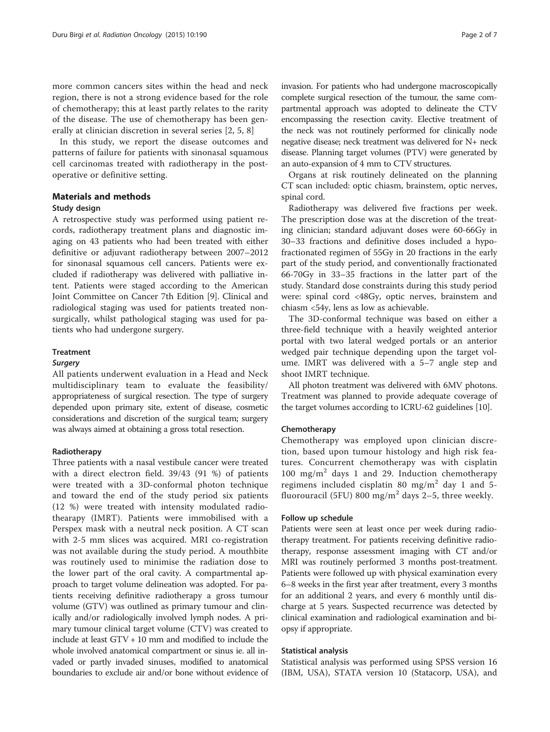more common cancers sites within the head and neck region, there is not a strong evidence based for the role of chemotherapy; this at least partly relates to the rarity of the disease. The use of chemotherapy has been generally at clinician discretion in several series [[2, 5,](#page-5-0) [8](#page-6-0)]

In this study, we report the disease outcomes and patterns of failure for patients with sinonasal squamous cell carcinomas treated with radiotherapy in the postoperative or definitive setting.

# Materials and methods

# Study design

A retrospective study was performed using patient records, radiotherapy treatment plans and diagnostic imaging on 43 patients who had been treated with either definitive or adjuvant radiotherapy between 2007–2012 for sinonasal squamous cell cancers. Patients were excluded if radiotherapy was delivered with palliative intent. Patients were staged according to the American Joint Committee on Cancer 7th Edition [[9](#page-6-0)]. Clinical and radiological staging was used for patients treated nonsurgically, whilst pathological staging was used for patients who had undergone surgery.

# Treatment

All patients underwent evaluation in a Head and Neck multidisciplinary team to evaluate the feasibility/ appropriateness of surgical resection. The type of surgery depended upon primary site, extent of disease, cosmetic considerations and discretion of the surgical team; surgery was always aimed at obtaining a gross total resection.

### Radiotherapy

Three patients with a nasal vestibule cancer were treated with a direct electron field. 39/43 (91 %) of patients were treated with a 3D-conformal photon technique and toward the end of the study period six patients (12 %) were treated with intensity modulated radiothearapy (IMRT). Patients were immobilised with a Perspex mask with a neutral neck position. A CT scan with 2-5 mm slices was acquired. MRI co-registration was not available during the study period. A mouthbite was routinely used to minimise the radiation dose to the lower part of the oral cavity. A compartmental approach to target volume delineation was adopted. For patients receiving definitive radiotherapy a gross tumour volume (GTV) was outlined as primary tumour and clinically and/or radiologically involved lymph nodes. A primary tumour clinical target volume (CTV) was created to include at least GTV + 10 mm and modified to include the whole involved anatomical compartment or sinus ie. all invaded or partly invaded sinuses, modified to anatomical boundaries to exclude air and/or bone without evidence of partmental approach was adopted to delineate the CTV encompassing the resection cavity. Elective treatment of the neck was not routinely performed for clinically node negative disease; neck treatment was delivered for N+ neck disease. Planning target volumes (PTV) were generated by an auto-expansion of 4 mm to CTV structures.

Organs at risk routinely delineated on the planning CT scan included: optic chiasm, brainstem, optic nerves, spinal cord.

Radiotherapy was delivered five fractions per week. The prescription dose was at the discretion of the treating clinician; standard adjuvant doses were 60-66Gy in 30–33 fractions and definitive doses included a hypofractionated regimen of 55Gy in 20 fractions in the early part of the study period, and conventionally fractionated 66-70Gy in 33–35 fractions in the latter part of the study. Standard dose constraints during this study period were: spinal cord <48Gy, optic nerves, brainstem and chiasm <54y, lens as low as achievable.

The 3D-conformal technique was based on either a three-field technique with a heavily weighted anterior portal with two lateral wedged portals or an anterior wedged pair technique depending upon the target volume. IMRT was delivered with a 5–7 angle step and shoot IMRT technique.

All photon treatment was delivered with 6MV photons. Treatment was planned to provide adequate coverage of the target volumes according to ICRU-62 guidelines [\[10\]](#page-6-0).

# Chemotherapy

Chemotherapy was employed upon clinician discretion, based upon tumour histology and high risk features. Concurrent chemotherapy was with cisplatin 100 mg/m<sup>2</sup> days 1 and 29. Induction chemotherapy regimens included cisplatin 80 mg/m<sup>2</sup> day 1 and 5fluorouracil (5FU) 800 mg/m<sup>2</sup> days 2–5, three weekly.

#### Follow up schedule

Patients were seen at least once per week during radiotherapy treatment. For patients receiving definitive radiotherapy, response assessment imaging with CT and/or MRI was routinely performed 3 months post-treatment. Patients were followed up with physical examination every 6–8 weeks in the first year after treatment, every 3 months for an additional 2 years, and every 6 monthly until discharge at 5 years. Suspected recurrence was detected by clinical examination and radiological examination and biopsy if appropriate.

### Statistical analysis

Statistical analysis was performed using SPSS version 16 (IBM, USA), STATA version 10 (Statacorp, USA), and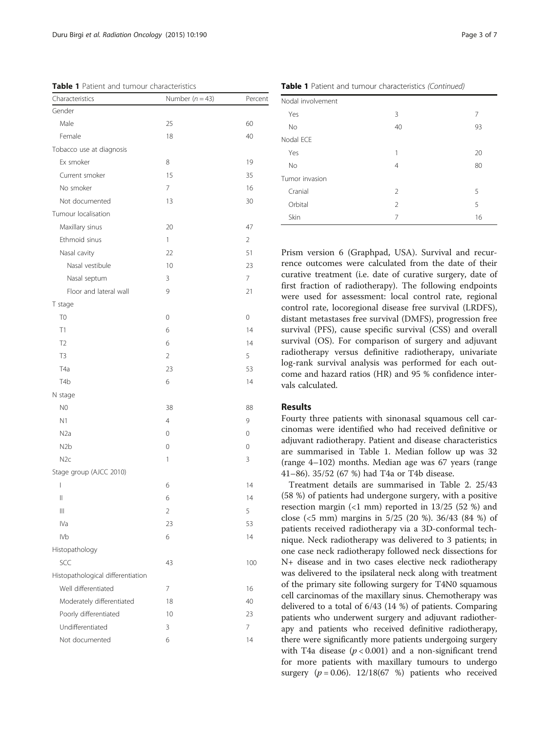| Characteristics                   | Number $(n = 43)$ | Percent        |
|-----------------------------------|-------------------|----------------|
| Gender                            |                   |                |
| Male                              | 25                | 60             |
| Female                            | 18                | 40             |
| Tobacco use at diagnosis          |                   |                |
| Ex smoker                         | 8                 | 19             |
| Current smoker                    | 15                | 35             |
| No smoker                         | 7                 | 16             |
| Not documented                    | 13                | 30             |
| Tumour localisation               |                   |                |
| Maxillary sinus                   | 20                | 47             |
| Ethmoid sinus                     | 1                 | $\overline{2}$ |
| Nasal cavity                      | 22                | 51             |
| Nasal vestibule                   | 10                | 23             |
| Nasal septum                      | 3                 | 7              |
| Floor and lateral wall            | 9                 | 21             |
| T stage                           |                   |                |
| T <sub>0</sub>                    | 0                 | 0              |
| T1                                | 6                 | 14             |
| T <sub>2</sub>                    | 6                 | 14             |
| T <sub>3</sub>                    | $\overline{2}$    | 5              |
| T <sub>4</sub> a                  | 23                | 53             |
| T <sub>4</sub> b                  | 6                 | 14             |
| N stage                           |                   |                |
| N <sub>0</sub>                    | 38                | 88             |
| N1                                | $\overline{4}$    | 9              |
| N <sub>2</sub> a                  | 0                 | 0              |
| N <sub>2</sub> b                  | 0                 | 0              |
| N <sub>2c</sub>                   | 1                 | 3              |
| Stage group (AJCC 2010)           |                   |                |
| I                                 | 6                 | 14             |
| $\mid \mid$                       | 6                 | 14             |
| Ш                                 | $\overline{c}$    | 5              |
| IVa                               | 23                | 53             |
| <b>IVb</b>                        | 6                 | 14             |
| Histopathology                    |                   |                |
| SCC                               | 43                | 100            |
| Histopathological differentiation |                   |                |
| Well differentiated               | 7                 | 16             |
| Moderately differentiated         | 18                | 40             |
| Poorly differentiated             | 10                | 23             |
| Undifferentiated                  | 3                 | 7              |
| Not documented                    | 6                 | 14             |
|                                   |                   |                |

Table 1 Patient and tumour characteristics

| Nodal involvement |                |    |  |  |
|-------------------|----------------|----|--|--|
|                   |                |    |  |  |
| <b>No</b>         | 40             | 93 |  |  |
| Nodal ECE         |                |    |  |  |
| Yes               | 1              | 20 |  |  |
| No                | $\overline{4}$ | 80 |  |  |
| Tumor invasion    |                |    |  |  |
| Cranial           | 2              | 5  |  |  |
| Orbital           | 2              | 5  |  |  |
| Skin              | 7              | 16 |  |  |

Prism version 6 (Graphpad, USA). Survival and recurrence outcomes were calculated from the date of their curative treatment (i.e. date of curative surgery, date of first fraction of radiotherapy). The following endpoints were used for assessment: local control rate, regional control rate, locoregional disease free survival (LRDFS), distant metastases free survival (DMFS), progression free survival (PFS), cause specific survival (CSS) and overall survival (OS). For comparison of surgery and adjuvant radiotherapy versus definitive radiotherapy, univariate log-rank survival analysis was performed for each outcome and hazard ratios (HR) and 95 % confidence intervals calculated.

# Results

Fourty three patients with sinonasal squamous cell carcinomas were identified who had received definitive or adjuvant radiotherapy. Patient and disease characteristics are summarised in Table 1. Median follow up was 32 (range 4–102) months. Median age was 67 years (range 41–86). 35/52 (67 %) had T4a or T4b disease.

Treatment details are summarised in Table [2](#page-3-0). 25/43 (58 %) of patients had undergone surgery, with a positive resection margin  $(1 \text{ mm})$  reported in 13/25 (52 %) and close (<5 mm) margins in 5/25 (20 %). 36/43 (84 %) of patients received radiotherapy via a 3D-conformal technique. Neck radiotherapy was delivered to 3 patients; in one case neck radiotherapy followed neck dissections for N+ disease and in two cases elective neck radiotherapy was delivered to the ipsilateral neck along with treatment of the primary site following surgery for T4N0 squamous cell carcinomas of the maxillary sinus. Chemotherapy was delivered to a total of 6/43 (14 %) of patients. Comparing patients who underwent surgery and adjuvant radiotherapy and patients who received definitive radiotherapy, there were significantly more patients undergoing surgery with T4a disease ( $p < 0.001$ ) and a non-significant trend for more patients with maxillary tumours to undergo surgery  $(p = 0.06)$ . 12/18(67 %) patients who received

Table 1 Patient and tumour characteristics (Continued)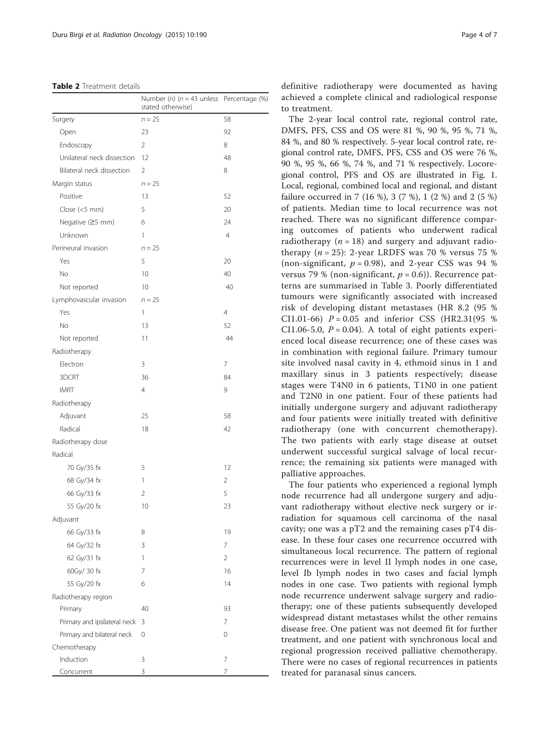#### <span id="page-3-0"></span>Table 2 Treatment details

|                              | Number (n) $(n = 43$ unless<br>stated otherwise) | Percentage (%) |
|------------------------------|--------------------------------------------------|----------------|
| Surgery                      | $n = 25$                                         | 58             |
| Open                         | 23                                               | 92             |
| Endoscopy                    | $\overline{2}$                                   | 8              |
| Unilateral neck dissection   | 12                                               | 48             |
| Bilateral neck dissection    | 2                                                | 8              |
| Margin status                | $n = 25$                                         |                |
| Positive                     | 13                                               | 52             |
| Close (<5 mm)                | 5                                                | 20             |
| Negative (≥5 mm)             | 6                                                | 24             |
| Unknown                      | 1                                                | 4              |
| Perineural invasion          | $n = 25$                                         |                |
| Yes                          | 5                                                | 20             |
| No                           | 10                                               | 40             |
| Not reported                 | 10                                               | 40             |
| Lymphovascular invasion      | $n = 25$                                         |                |
| Yes                          | 1                                                | $\overline{4}$ |
| No                           | 13                                               | 52             |
| Not reported                 | 11                                               | 44             |
| Radiotherapy                 |                                                  |                |
| Electron                     | 3                                                | 7              |
| 3DCRT                        | 36                                               | 84             |
| <b>IMRT</b>                  | 4                                                | 9              |
| Radiotherapy                 |                                                  |                |
| Adjuvant                     | 25                                               | 58             |
| Radical                      | 18                                               | 42             |
| Radiotherapy dose            |                                                  |                |
| Radical                      |                                                  |                |
| 70 Gy/35 fx                  | 5                                                | 12             |
| 68 Gy/34 fx                  | 1                                                | 2              |
| 66 Gy/33 fx                  | 2                                                | 5              |
| 55 Gy/20 fx                  | 10                                               | 23             |
| Adjuvant                     |                                                  |                |
| 66 Gy/33 fx                  | 8                                                | 19             |
| 64 Gy/32 fx                  | 3                                                | 7              |
| 62 Gy/31 fx                  | 1                                                | 2              |
| 60Gy/ 30 fx                  | 7                                                | 16             |
| 55 Gy/20 fx                  | 6                                                | 14             |
| Radiotherapy region          |                                                  |                |
| Primary                      | 40                                               | 93             |
| Primary and ipsilateral neck | 3                                                | 7              |
| Primary and bilateral neck   | 0                                                | 0              |
| Chemotherapy                 |                                                  |                |
| Induction                    | 3                                                | 7              |
| Concurrent                   | 3                                                | 7              |

definitive radiotherapy were documented as having achieved a complete clinical and radiological response to treatment.

The 2-year local control rate, regional control rate, DMFS, PFS, CSS and OS were 81 %, 90 %, 95 %, 71 %, 84 %, and 80 % respectively. 5-year local control rate, regional control rate, DMFS, PFS, CSS and OS were 76 %, 90 %, 95 %, 66 %, 74 %, and 71 % respectively. Locoregional control, PFS and OS are illustrated in Fig. [1](#page-4-0). Local, regional, combined local and regional, and distant failure occurred in 7 (16 %), 3 (7 %), 1 (2 %) and 2 (5 %) of patients. Median time to local recurrence was not reached. There was no significant difference comparing outcomes of patients who underwent radical radiotherapy ( $n = 18$ ) and surgery and adjuvant radiotherapy  $(n = 25)$ : 2-year LRDFS was 70 % versus 75 % (non-significant,  $p = 0.98$ ), and 2-year CSS was 94 % versus 79 % (non-significant,  $p = 0.6$ )). Recurrence patterns are summarised in Table [3.](#page-4-0) Poorly differentiated tumours were significantly associated with increased risk of developing distant metastases (HR 8.2 (95 % CI1.01-66)  $P = 0.05$  and inferior CSS (HR2.31(95 %) CI1.06-5.0,  $P = 0.04$ ). A total of eight patients experienced local disease recurrence; one of these cases was in combination with regional failure. Primary tumour site involved nasal cavity in 4, ethmoid sinus in 1 and maxillary sinus in 3 patients respectively; disease stages were T4N0 in 6 patients, T1N0 in one patient and T2N0 in one patient. Four of these patients had initially undergone surgery and adjuvant radiotherapy and four patients were initially treated with definitive radiotherapy (one with concurrent chemotherapy). The two patients with early stage disease at outset underwent successful surgical salvage of local recurrence; the remaining six patients were managed with palliative approaches.

The four patients who experienced a regional lymph node recurrence had all undergone surgery and adjuvant radiotherapy without elective neck surgery or irradiation for squamous cell carcinoma of the nasal cavity; one was a pT2 and the remaining cases pT4 disease. In these four cases one recurrence occurred with simultaneous local recurrence. The pattern of regional recurrences were in level II lymph nodes in one case, level Ib lymph nodes in two cases and facial lymph nodes in one case. Two patients with regional lymph node recurrence underwent salvage surgery and radiotherapy; one of these patients subsequently developed widespread distant metastases whilst the other remains disease free. One patient was not deemed fit for further treatment, and one patient with synchronous local and regional progression received palliative chemotherapy. There were no cases of regional recurrences in patients treated for paranasal sinus cancers.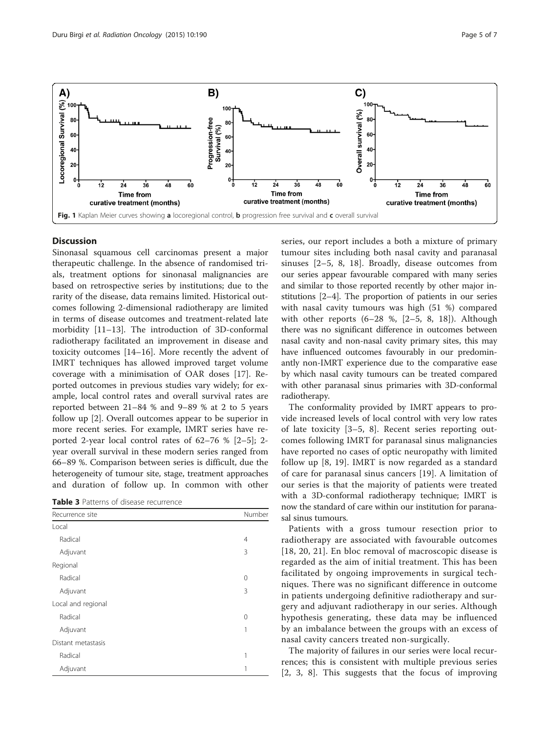<span id="page-4-0"></span>

# **Discussion**

Sinonasal squamous cell carcinomas present a major therapeutic challenge. In the absence of randomised trials, treatment options for sinonasal malignancies are based on retrospective series by institutions; due to the rarity of the disease, data remains limited. Historical outcomes following 2-dimensional radiotherapy are limited in terms of disease outcomes and treatment-related late morbidity [\[11](#page-6-0)–[13\]](#page-6-0). The introduction of 3D-conformal radiotherapy facilitated an improvement in disease and toxicity outcomes [\[14](#page-6-0)–[16\]](#page-6-0). More recently the advent of IMRT techniques has allowed improved target volume coverage with a minimisation of OAR doses [[17](#page-6-0)]. Reported outcomes in previous studies vary widely; for example, local control rates and overall survival rates are reported between 21–84 % and 9–89 % at 2 to 5 years follow up [[2\]](#page-5-0). Overall outcomes appear to be superior in more recent series. For example, IMRT series have reported 2-year local control rates of 62–76 % [\[2](#page-5-0)–[5](#page-5-0)]; 2 year overall survival in these modern series ranged from 66–89 %. Comparison between series is difficult, due the heterogeneity of tumour site, stage, treatment approaches and duration of follow up. In common with other

| <b>Table 3</b> Patterns of disease recurrence |
|-----------------------------------------------|
|-----------------------------------------------|

| Recurrence site    | Number   |
|--------------------|----------|
| Local              |          |
| Radical            | 4        |
| Adjuvant           | 3        |
| Regional           |          |
| Radical            | 0        |
| Adjuvant           | 3        |
| Local and regional |          |
| Radical            | $\Omega$ |
| Adjuvant           | 1        |
| Distant metastasis |          |
| Radical            | 1        |
| Adjuvant           | 1        |

series, our report includes a both a mixture of primary tumour sites including both nasal cavity and paranasal sinuses [[2](#page-5-0)–[5,](#page-5-0) [8](#page-6-0), [18\]](#page-6-0). Broadly, disease outcomes from our series appear favourable compared with many series and similar to those reported recently by other major institutions [[2](#page-5-0)–[4](#page-5-0)]. The proportion of patients in our series with nasal cavity tumours was high (51 %) compared with other reports  $(6-28, 8, 12-5, 8, 18)$  $(6-28, 8, 12-5, 8, 18)$  $(6-28, 8, 12-5, 8, 18)$  $(6-28, 8, 12-5, 8, 18)$  $(6-28, 8, 12-5, 8, 18)$  $(6-28, 8, 12-5, 8, 18)$ . Although there was no significant difference in outcomes between nasal cavity and non-nasal cavity primary sites, this may have influenced outcomes favourably in our predominantly non-IMRT experience due to the comparative ease by which nasal cavity tumours can be treated compared with other paranasal sinus primaries with 3D-conformal radiotherapy.

The conformality provided by IMRT appears to provide increased levels of local control with very low rates of late toxicity [[3](#page-5-0)–[5,](#page-5-0) [8](#page-6-0)]. Recent series reporting outcomes following IMRT for paranasal sinus malignancies have reported no cases of optic neuropathy with limited follow up [[8, 19\]](#page-6-0). IMRT is now regarded as a standard of care for paranasal sinus cancers [\[19](#page-6-0)]. A limitation of our series is that the majority of patients were treated with a 3D-conformal radiotherapy technique; IMRT is now the standard of care within our institution for paranasal sinus tumours.

Patients with a gross tumour resection prior to radiotherapy are associated with favourable outcomes [[18](#page-6-0), [20, 21\]](#page-6-0). En bloc removal of macroscopic disease is regarded as the aim of initial treatment. This has been facilitated by ongoing improvements in surgical techniques. There was no significant difference in outcome in patients undergoing definitive radiotherapy and surgery and adjuvant radiotherapy in our series. Although hypothesis generating, these data may be influenced by an imbalance between the groups with an excess of nasal cavity cancers treated non-surgically.

The majority of failures in our series were local recurrences; this is consistent with multiple previous series [[2, 3,](#page-5-0) [8\]](#page-6-0). This suggests that the focus of improving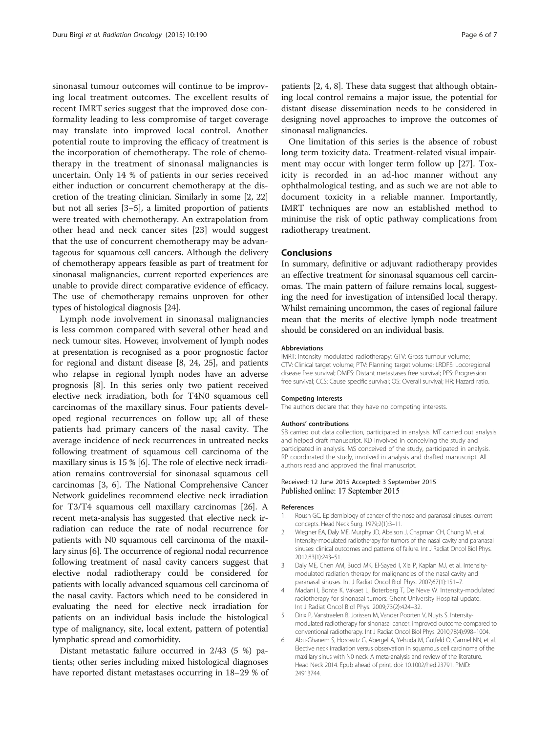<span id="page-5-0"></span>sinonasal tumour outcomes will continue to be improving local treatment outcomes. The excellent results of recent IMRT series suggest that the improved dose conformality leading to less compromise of target coverage may translate into improved local control. Another potential route to improving the efficacy of treatment is the incorporation of chemotherapy. The role of chemotherapy in the treatment of sinonasal malignancies is uncertain. Only 14 % of patients in our series received either induction or concurrent chemotherapy at the discretion of the treating clinician. Similarly in some [2, [22](#page-6-0)] but not all series [3–5], a limited proportion of patients were treated with chemotherapy. An extrapolation from other head and neck cancer sites [[23\]](#page-6-0) would suggest that the use of concurrent chemotherapy may be advantageous for squamous cell cancers. Although the delivery of chemotherapy appears feasible as part of treatment for sinonasal malignancies, current reported experiences are unable to provide direct comparative evidence of efficacy. The use of chemotherapy remains unproven for other types of histological diagnosis [[24](#page-6-0)].

Lymph node involvement in sinonasal malignancies is less common compared with several other head and neck tumour sites. However, involvement of lymph nodes at presentation is recognised as a poor prognostic factor for regional and distant disease [\[8, 24, 25\]](#page-6-0), and patients who relapse in regional lymph nodes have an adverse prognosis [[8\]](#page-6-0). In this series only two patient received elective neck irradiation, both for T4N0 squamous cell carcinomas of the maxillary sinus. Four patients developed regional recurrences on follow up; all of these patients had primary cancers of the nasal cavity. The average incidence of neck recurrences in untreated necks following treatment of squamous cell carcinoma of the maxillary sinus is 15 % [6]. The role of elective neck irradiation remains controversial for sinonasal squamous cell carcinomas [3, 6]. The National Comprehensive Cancer Network guidelines recommend elective neck irradiation for T3/T4 squamous cell maxillary carcinomas [[26](#page-6-0)]. A recent meta-analysis has suggested that elective neck irradiation can reduce the rate of nodal recurrence for patients with N0 squamous cell carcinoma of the maxillary sinus [6]. The occurrence of regional nodal recurrence following treatment of nasal cavity cancers suggest that elective nodal radiotherapy could be considered for patients with locally advanced squamous cell carcinoma of the nasal cavity. Factors which need to be considered in evaluating the need for elective neck irradiation for patients on an individual basis include the histological type of malignancy, site, local extent, pattern of potential lymphatic spread and comorbidity.

Distant metastatic failure occurred in 2/43 (5 %) patients; other series including mixed histological diagnoses have reported distant metastases occurring in 18–29 % of patients [2, 4, [8](#page-6-0)]. These data suggest that although obtaining local control remains a major issue, the potential for distant disease dissemination needs to be considered in designing novel approaches to improve the outcomes of sinonasal malignancies.

One limitation of this series is the absence of robust long term toxicity data. Treatment-related visual impairment may occur with longer term follow up [\[27](#page-6-0)]. Toxicity is recorded in an ad-hoc manner without any ophthalmological testing, and as such we are not able to document toxicity in a reliable manner. Importantly, IMRT techniques are now an established method to minimise the risk of optic pathway complications from radiotherapy treatment.

## Conclusions

In summary, definitive or adjuvant radiotherapy provides an effective treatment for sinonasal squamous cell carcinomas. The main pattern of failure remains local, suggesting the need for investigation of intensified local therapy. Whilst remaining uncommon, the cases of regional failure mean that the merits of elective lymph node treatment should be considered on an individual basis.

#### Abbreviations

IMRT: Intensity modulated radiotherapy; GTV: Gross tumour volume; CTV: Clinical target volume; PTV: Planning target volume; LRDFS: Locoregional disease free survival; DMFS: Distant metastases free survival; PFS: Progression free survival; CCS: Cause specific survival; OS: Overall survival; HR: Hazard ratio.

#### Competing interests

The authors declare that they have no competing interests.

#### Authors' contributions

SB carried out data collection, participated in analysis. MT carried out analysis and helped draft manuscript. KD involved in conceiving the study and participated in analysis. MS conceived of the study, participated in analysis. RP coordinated the study, involved in analysis and drafted manuscript. All authors read and approved the final manuscript.

#### Received: 12 June 2015 Accepted: 3 September 2015 Published online: 17 September 2015

#### References

- 1. Roush GC. Epidemiology of cancer of the nose and paranasal sinuses: current concepts. Head Neck Surg. 1979;2(1):3–11.
- 2. Wiegner EA, Daly ME, Murphy JD, Abelson J, Chapman CH, Chung M, et al. Intensity-modulated radiotherapy for tumors of the nasal cavity and paranasal sinuses: clinical outcomes and patterns of failure. Int J Radiat Oncol Biol Phys. 2012;83(1):243–51.
- 3. Daly ME, Chen AM, Bucci MK, El-Sayed I, Xia P, Kaplan MJ, et al. Intensitymodulated radiation therapy for malignancies of the nasal cavity and paranasal sinuses. Int J Radiat Oncol Biol Phys. 2007;67(1):151–7.
- 4. Madani I, Bonte K, Vakaet L, Boterberg T, De Neve W. Intensity-modulated radiotherapy for sinonasal tumors: Ghent University Hospital update. Int J Radiat Oncol Biol Phys. 2009;73(2):424–32.
- 5. Dirix P, Vanstraelen B, Jorissen M, Vander Poorten V, Nuyts S. Intensitymodulated radiotherapy for sinonasal cancer: improved outcome compared to conventional radiotherapy. Int J Radiat Oncol Biol Phys. 2010;78(4):998–1004.
- 6. Abu-Ghanem S, Horowitz G, Abergel A, Yehuda M, Gutfeld O, Carmel NN, et al. Elective neck irradiation versus observation in squamous cell carcinoma of the maxillary sinus with N0 neck: A meta-analysis and review of the literature. Head Neck 2014. Epub ahead of print. doi: [10.1002/hed.23791](http://dx.doi.org/10.1002/hed.23791). PMID: 24913744.